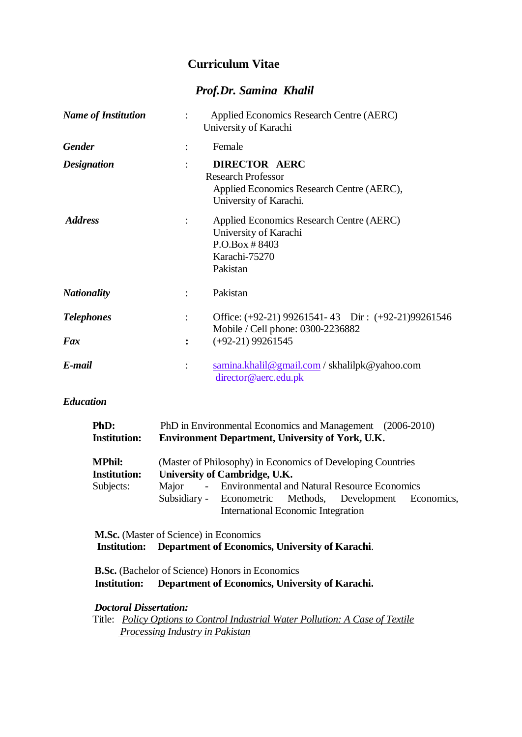# **Curriculum Vitae**

# *Prof.Dr. Samina Khalil*

| <b>Name of Institution</b> | Applied Economics Research Centre (AERC)<br>University of Karachi                                                        |  |
|----------------------------|--------------------------------------------------------------------------------------------------------------------------|--|
| <b>Gender</b>              | Female                                                                                                                   |  |
| <b>Designation</b>         | <b>DIRECTOR AERC</b><br><b>Research Professor</b><br>Applied Economics Research Centre (AERC),<br>University of Karachi. |  |
| <b>Address</b>             | Applied Economics Research Centre (AERC)<br>University of Karachi<br>$P.O.Box \# 8403$<br>Karachi-75270<br>Pakistan      |  |
| <b>Nationality</b>         | Pakistan                                                                                                                 |  |
| <b>Telephones</b>          | Office: (+92-21) 99261541-43 Dir: (+92-21)99261546<br>Mobile / Cell phone: 0300-2236882                                  |  |
| Fax                        | $(+92-21)$ 99261545<br>$\ddot{\cdot}$                                                                                    |  |
| E-mail                     | samina.khalil@gmail.com/skhalilpk@yahoo.com<br>director@aerc.edu.pk                                                      |  |

# *Education*

| PhD:                | PhD in Environmental Economics and Management (2006-2010) |                                                         |  |                                                             |  |
|---------------------|-----------------------------------------------------------|---------------------------------------------------------|--|-------------------------------------------------------------|--|
| <b>Institution:</b> |                                                           | <b>Environment Department, University of York, U.K.</b> |  |                                                             |  |
| <b>MPhil:</b>       |                                                           |                                                         |  | (Master of Philosophy) in Economics of Developing Countries |  |
| <b>Institution:</b> |                                                           | University of Cambridge, U.K.                           |  |                                                             |  |
| Subjects:           | Major                                                     |                                                         |  | - Environmental and Natural Resource Economics              |  |
|                     |                                                           |                                                         |  | Subsidiary - Econometric Methods, Development Economics,    |  |
|                     |                                                           | <b>International Economic Integration</b>               |  |                                                             |  |

**M.Sc.** (Master of Science) in Economics **Institution: Department of Economics, University of Karachi**.

**B.Sc.** (Bachelor of Science) Honors in Economics **Institution: Department of Economics, University of Karachi.**

## *Doctoral Dissertation:*

Title: *Policy Options to Control Industrial Water Pollution: A Case of Textile Processing Industry in Pakistan*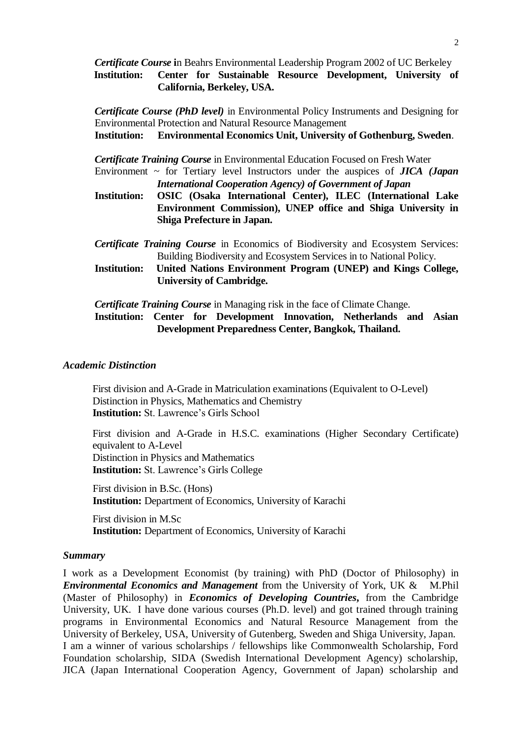*Certificate Course* **i**n Beahrs Environmental Leadership Program 2002 of UC Berkeley **Institution: Center for Sustainable Resource Development, University of California, Berkeley, USA.**

*Certificate Course (PhD level)* in Environmental Policy Instruments and Designing for Environmental Protection and Natural Resource Management **Institution: Environmental Economics Unit, University of Gothenburg, Sweden**.

*Certificate Training Course* in Environmental Education Focused on Fresh Water

Environment ~ for Tertiary level Instructors under the auspices of *JICA (Japan International Cooperation Agency) of Government of Japan*

- **Institution: OSIC (Osaka International Center), ILEC (International Lake Environment Commission), UNEP office and Shiga University in Shiga Prefecture in Japan.**
- *Certificate Training Course* in Economics of Biodiversity and Ecosystem Services: Building Biodiversity and Ecosystem Services in to National Policy.
- **Institution: United Nations Environment Program (UNEP) and Kings College, University of Cambridge.**

*Certificate Training Course* in Managing risk in the face of Climate Change.

**Institution: Center for Development Innovation, Netherlands and Asian Development Preparedness Center, Bangkok, Thailand.**

## *Academic Distinction*

First division and A-Grade in Matriculation examinations (Equivalent to O-Level) Distinction in Physics, Mathematics and Chemistry **Institution:** St. Lawrence's Girls School

First division and A-Grade in H.S.C. examinations (Higher Secondary Certificate) equivalent to A-Level Distinction in Physics and Mathematics **Institution:** St. Lawrence's Girls College

First division in B.Sc. (Hons) **Institution:** Department of Economics, University of Karachi

First division in M.Sc **Institution:** Department of Economics, University of Karachi

## *Summary*

I work as a Development Economist (by training) with PhD (Doctor of Philosophy) in *Environmental Economics and Management* from the University of York, UK & M.Phil (Master of Philosophy) in *Economics of Developing Countries***,** from the Cambridge University, UK. I have done various courses (Ph.D. level) and got trained through training programs in Environmental Economics and Natural Resource Management from the University of Berkeley, USA, University of Gutenberg, Sweden and Shiga University, Japan. I am a winner of various scholarships / fellowships like Commonwealth Scholarship, Ford Foundation scholarship, SIDA (Swedish International Development Agency) scholarship, JICA (Japan International Cooperation Agency, Government of Japan) scholarship and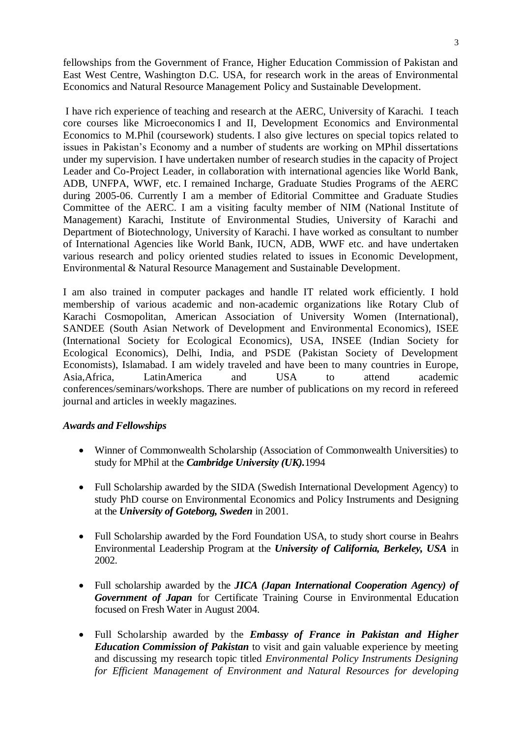fellowships from the Government of France, Higher Education Commission of Pakistan and East West Centre, Washington D.C. USA, for research work in the areas of Environmental Economics and Natural Resource Management Policy and Sustainable Development.

I have rich experience of teaching and research at the AERC, University of Karachi. I teach core courses like Microeconomics I and II, Development Economics and Environmental Economics to M.Phil (coursework) students. I also give lectures on special topics related to issues in Pakistan's Economy and a number of students are working on MPhil dissertations under my supervision. I have undertaken number of research studies in the capacity of Project Leader and Co-Project Leader, in collaboration with international agencies like World Bank, ADB, UNFPA, WWF, etc. I remained Incharge, Graduate Studies Programs of the AERC during 2005-06. Currently I am a member of Editorial Committee and Graduate Studies Committee of the AERC. I am a visiting faculty member of NIM (National Institute of Management) Karachi, Institute of Environmental Studies, University of Karachi and Department of Biotechnology, University of Karachi. I have worked as consultant to number of International Agencies like World Bank, IUCN, ADB, WWF etc. and have undertaken various research and policy oriented studies related to issues in Economic Development, Environmental & Natural Resource Management and Sustainable Development.

I am also trained in computer packages and handle IT related work efficiently. I hold membership of various academic and non-academic organizations like Rotary Club of Karachi Cosmopolitan, American Association of University Women (International), SANDEE (South Asian Network of Development and Environmental Economics), ISEE (International Society for Ecological Economics), USA, INSEE (Indian Society for Ecological Economics), Delhi, India, and PSDE (Pakistan Society of Development Economists), Islamabad. I am widely traveled and have been to many countries in Europe, Asia,Africa, LatinAmerica and USA to attend academic conferences/seminars/workshops. There are number of publications on my record in refereed journal and articles in weekly magazines.

## *Awards and Fellowships*

- Winner of Commonwealth Scholarship (Association of Commonwealth Universities) to study for MPhil at the *Cambridge University (UK).*1994
- Full Scholarship awarded by the SIDA (Swedish International Development Agency) to study PhD course on Environmental Economics and Policy Instruments and Designing at the *University of Goteborg, Sweden* in 2001.
- Full Scholarship awarded by the Ford Foundation USA, to study short course in Beahrs Environmental Leadership Program at the *University of California, Berkeley, USA* in 2002.
- Full scholarship awarded by the *JICA (Japan International Cooperation Agency) of Government of Japan* for Certificate Training Course in Environmental Education focused on Fresh Water in August 2004.
- Full Scholarship awarded by the *Embassy of France in Pakistan and Higher Education Commission of Pakistan* to visit and gain valuable experience by meeting and discussing my research topic titled *Environmental Policy Instruments Designing for Efficient Management of Environment and Natural Resources for developing*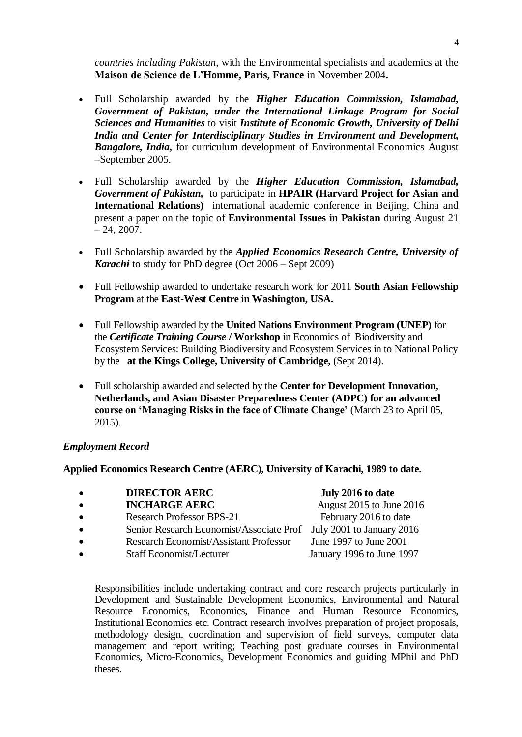*countries including Pakistan,* with the Environmental specialists and academics at the **Maison de Science de L'Homme, Paris, France** in November 2004**.**

- Full Scholarship awarded by the *Higher Education Commission, Islamabad, Government of Pakistan, under the International Linkage Program for Social Sciences and Humanities* to visit *Institute of Economic Growth, University of Delhi India and Center for Interdisciplinary Studies in Environment and Development, Bangalore, India,* for curriculum development of Environmental Economics August –September 2005.
- Full Scholarship awarded by the *Higher Education Commission, Islamabad, Government of Pakistan,* to participate in **HPAIR (Harvard Project for Asian and International Relations)** international academic conference in Beijing, China and present a paper on the topic of **Environmental Issues in Pakistan** during August 21  $-24, 2007.$
- Full Scholarship awarded by the *Applied Economics Research Centre, University of Karachi* to study for PhD degree (Oct 2006 – Sept 2009)
- Full Fellowship awarded to undertake research work for 2011 **South Asian Fellowship Program** at the **East-West Centre in Washington, USA.**
- Full Fellowship awarded by the **United Nations Environment Program (UNEP)** for the *Certificate Training Course* **/ Workshop** in Economics of Biodiversity and Ecosystem Services: Building Biodiversity and Ecosystem Services in to National Policy by the **at the Kings College, University of Cambridge,** (Sept 2014).
- Full scholarship awarded and selected by the **Center for Development Innovation, Netherlands, and Asian Disaster Preparedness Center (ADPC) for an advanced course on 'Managing Risks in the face of Climate Change'** (March 23 to April 05, 2015).

## *Employment Record*

**Applied Economics Research Centre (AERC), University of Karachi, 1989 to date.**

| $\bullet$ | <b>DIRECTOR AERC</b>                                               | July 2016 to date                                       |
|-----------|--------------------------------------------------------------------|---------------------------------------------------------|
| $\bullet$ | <b>INCHARGE AERC</b>                                               | August 2015 to June 2016                                |
| $\bullet$ | <b>Research Professor BPS-21</b>                                   | February 2016 to date                                   |
| $\bullet$ | Senior Research Economist/Associate Prof July 2001 to January 2016 |                                                         |
| $\bullet$ | Research Economist/Assistant Professor                             | June 1997 to June 2001                                  |
|           |                                                                    | $\mathbf{I}$ $\mathbf{100}$ $\mathbf{I}$ $\mathbf{100}$ |

Staff Economist/Lecturer January 1996 to June 1997

Responsibilities include undertaking contract and core research projects particularly in Development and Sustainable Development Economics, Environmental and Natural Resource Economics, Economics, Finance and Human Resource Economics, Institutional Economics etc. Contract research involves preparation of project proposals, methodology design, coordination and supervision of field surveys, computer data management and report writing; Teaching post graduate courses in Environmental Economics, Micro-Economics, Development Economics and guiding MPhil and PhD theses.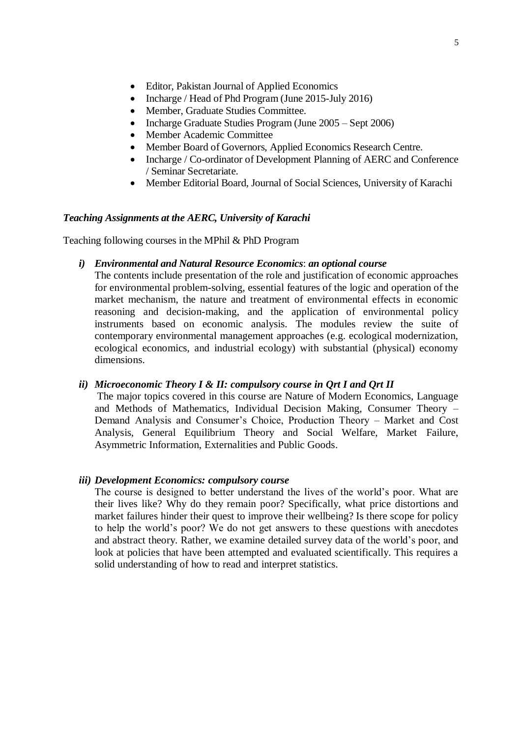- Editor, Pakistan Journal of Applied Economics
- Incharge / Head of Phd Program (June 2015-July 2016)
- Member, Graduate Studies Committee.
- Incharge Graduate Studies Program (June 2005 Sept 2006)
- Member Academic Committee
- Member Board of Governors, Applied Economics Research Centre.
- Incharge / Co-ordinator of Development Planning of AERC and Conference / Seminar Secretariate.
- Member Editorial Board, Journal of Social Sciences, University of Karachi

## *Teaching Assignments at the AERC, University of Karachi*

Teaching following courses in the MPhil & PhD Program

## *i) Environmental and Natural Resource Economics*: *an optional course*

The contents include presentation of the role and justification of economic approaches for environmental problem-solving, essential features of the logic and operation of the market mechanism, the nature and treatment of environmental effects in economic reasoning and decision-making, and the application of environmental policy instruments based on economic analysis. The modules review the suite of contemporary environmental management approaches (e.g. ecological modernization, ecological economics, and industrial ecology) with substantial (physical) economy dimensions.

## *ii) Microeconomic Theory I & II: compulsory course in Qrt I and Qrt II*

The major topics covered in this course are Nature of Modern Economics, Language and Methods of Mathematics, Individual Decision Making, Consumer Theory – Demand Analysis and Consumer's Choice, Production Theory – Market and Cost Analysis, General Equilibrium Theory and Social Welfare, Market Failure, Asymmetric Information, Externalities and Public Goods.

## *iii) Development Economics: compulsory course*

The course is designed to better understand the lives of the world's poor. What are their lives like? Why do they remain poor? Specifically, what price distortions and market failures hinder their quest to improve their wellbeing? Is there scope for policy to help the world's poor? We do not get answers to these questions with anecdotes and abstract theory. Rather, we examine detailed survey data of the world's poor, and look at policies that have been attempted and evaluated scientifically. This requires a solid understanding of how to read and interpret statistics.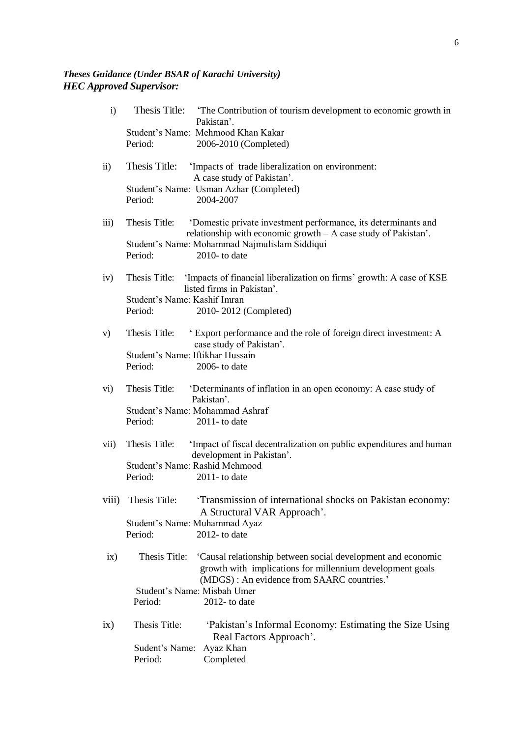## *Theses Guidance (Under BSAR of Karachi University) HEC Approved Supervisor:*

| $\mathbf{i}$        | Thesis Title:<br>The Contribution of tourism development to economic growth in<br>Pakistan'.<br>Student's Name: Mehmood Khan Kakar                                                       |
|---------------------|------------------------------------------------------------------------------------------------------------------------------------------------------------------------------------------|
|                     | Period:<br>2006-2010 (Completed)                                                                                                                                                         |
| $\ddot{\text{ii}})$ | Thesis Title:<br>'Impacts of trade liberalization on environment:<br>A case study of Pakistan'.                                                                                          |
|                     | Student's Name: Usman Azhar (Completed)<br>2004-2007<br>Period:                                                                                                                          |
| $\overline{iii}$    | Thesis Title:<br>'Domestic private investment performance, its determinants and<br>relationship with economic growth $-A$ case study of Pakistan'.                                       |
|                     | Student's Name: Mohammad Najmulislam Siddiqui<br>2010- to date<br>Period:                                                                                                                |
| iv)                 | Thesis Title: 'Impacts of financial liberalization on firms' growth: A case of KSE<br>listed firms in Pakistan'.                                                                         |
|                     | Student's Name: Kashif Imran<br>Period:<br>2010-2012 (Completed)                                                                                                                         |
| V)                  | Thesis Title:<br>Export performance and the role of foreign direct investment: A<br>case study of Pakistan'.                                                                             |
|                     | Student's Name: Iftikhar Hussain<br>Period:<br>$2006$ - to date                                                                                                                          |
| vi)                 | Thesis Title:<br>'Determinants of inflation in an open economy: A case study of<br>Pakistan'.                                                                                            |
|                     | Student's Name: Mohammad Ashraf<br>Period:<br>$2011$ - to date                                                                                                                           |
| vii)                | Thesis Title:<br>'Impact of fiscal decentralization on public expenditures and human<br>development in Pakistan'.                                                                        |
|                     | Student's Name: Rashid Mehmood<br>Period:<br>$2011$ - to date                                                                                                                            |
|                     | viii) Thesis Title: 'Transmission of international shocks on Pakistan economy:<br>A Structural VAR Approach'.                                                                            |
|                     | Student's Name: Muhammad Ayaz<br>$2012$ - to date<br>Period:                                                                                                                             |
| ix)                 | Thesis Title:<br>'Causal relationship between social development and economic<br>growth with implications for millennium development goals<br>(MDGS): An evidence from SAARC countries.' |
|                     | Student's Name: Misbah Umer<br>Period:<br>$2012$ - to date                                                                                                                               |
| ix)                 | 'Pakistan's Informal Economy: Estimating the Size Using<br>Thesis Title:<br>Real Factors Approach'.                                                                                      |
|                     | Sudent's Name:<br>Ayaz Khan<br>Period:<br>Completed                                                                                                                                      |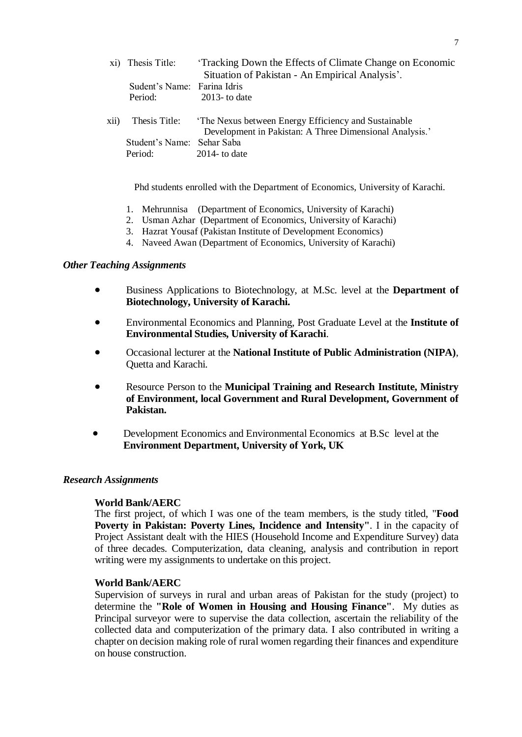|      | xi) Thesis Title:           | Tracking Down the Effects of Climate Change on Economic<br>Situation of Pakistan - An Empirical Analysis'.     |
|------|-----------------------------|----------------------------------------------------------------------------------------------------------------|
|      | Sudent's Name: Farina Idris |                                                                                                                |
|      | Period:                     | 2013- to date                                                                                                  |
| xii) | Thesis Title:               | The Nexus between Energy Efficiency and Sustainable<br>Development in Pakistan: A Three Dimensional Analysis.' |
|      | Student's Name: Sehar Saba  |                                                                                                                |
|      | Period:                     | 2014- to date                                                                                                  |

Phd students enrolled with the Department of Economics, University of Karachi.

- 1. Mehrunnisa (Department of Economics, University of Karachi)
- 2. Usman Azhar (Department of Economics, University of Karachi)
- 3. Hazrat Yousaf (Pakistan Institute of Development Economics)
- 4. Naveed Awan (Department of Economics, University of Karachi)

## *Other Teaching Assignments*

- Business Applications to Biotechnology, at M.Sc. level at the **Department of Biotechnology, University of Karachi.**
- Environmental Economics and Planning, Post Graduate Level at the **Institute of Environmental Studies, University of Karachi**.
- Occasional lecturer at the **National Institute of Public Administration (NIPA)**, Quetta and Karachi.
- Resource Person to the **Municipal Training and Research Institute, Ministry of Environment, local Government and Rural Development, Government of Pakistan.**
- Development Economics and Environmental Economics at B.Sc level at the **Environment Department, University of York, UK**

## *Research Assignments*

## **World Bank/AERC**

The first project, of which I was one of the team members, is the study titled, "**Food Poverty in Pakistan: Poverty Lines, Incidence and Intensity"**. I in the capacity of Project Assistant dealt with the HIES (Household Income and Expenditure Survey) data of three decades. Computerization, data cleaning, analysis and contribution in report writing were my assignments to undertake on this project.

## **World Bank/AERC**

Supervision of surveys in rural and urban areas of Pakistan for the study (project) to determine the **"Role of Women in Housing and Housing Finance"**. My duties as Principal surveyor were to supervise the data collection, ascertain the reliability of the collected data and computerization of the primary data. I also contributed in writing a chapter on decision making role of rural women regarding their finances and expenditure on house construction.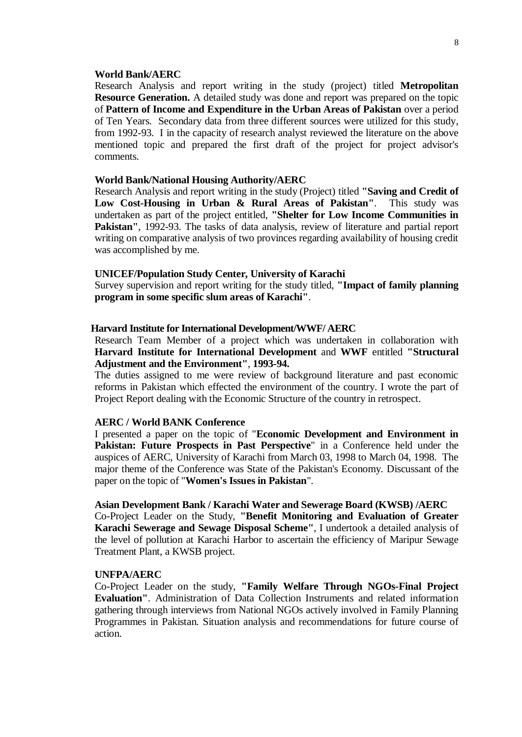#### **World Bank/AERC**

Research Analysis and report writing in the study (project) titled **Metropolitan Resource Generation.** A detailed study was done and report was prepared on the topic of **Pattern of Income and Expenditure in the Urban Areas of Pakistan** over a period of Ten Years. Secondary data from three different sources were utilized for this study, from 1992-93. I in the capacity of research analyst reviewed the literature on the above mentioned topic and prepared the first draft of the project for project advisor's comments.

#### **World Bank/National Housing Authority/AERC**

Research Analysis and report writing in the study (Project) titled **"Saving and Credit of Low Cost-Housing in Urban & Rural Areas of Pakistan"**. This study was undertaken as part of the project entitled, **"Shelter for Low Income Communities in Pakistan"**, 1992-93. The tasks of data analysis, review of literature and partial report writing on comparative analysis of two provinces regarding availability of housing credit was accomplished by me.

#### **UNICEF/Population Study Center, University of Karachi**

Survey supervision and report writing for the study titled, **"Impact of family planning program in some specific slum areas of Karachi"**.

#### **Harvard Institute for International Development/WWF/ AERC**

Research Team Member of a project which was undertaken in collaboration with **Harvard Institute for International Development** and **WWF** entitled **"Structural Adjustment and the Environment"**, **1993-94.**

The duties assigned to me were review of background literature and past economic reforms in Pakistan which effected the environment of the country. I wrote the part of Project Report dealing with the Economic Structure of the country in retrospect.

#### **AERC / World BANK Conference**

I presented a paper on the topic of "**Economic Development and Environment in Pakistan: Future Prospects in Past Perspective**" in a Conference held under the auspices of AERC, University of Karachi from March 03, 1998 to March 04, 1998. The major theme of the Conference was State of the Pakistan's Economy. Discussant of the paper on the topic of "**Women's Issues in Pakistan**".

#### **Asian Development Bank / Karachi Water and Sewerage Board (KWSB) /AERC**

Co-Project Leader on the Study, **"Benefit Monitoring and Evaluation of Greater Karachi Sewerage and Sewage Disposal Scheme"**, I undertook a detailed analysis of the level of pollution at Karachi Harbor to ascertain the efficiency of Maripur Sewage Treatment Plant, a KWSB project.

#### **UNFPA/AERC**

Co-Project Leader on the study, **"Family Welfare Through NGOs-Final Project Evaluation"**. Administration of Data Collection Instruments and related information gathering through interviews from National NGOs actively involved in Family Planning Programmes in Pakistan. Situation analysis and recommendations for future course of action.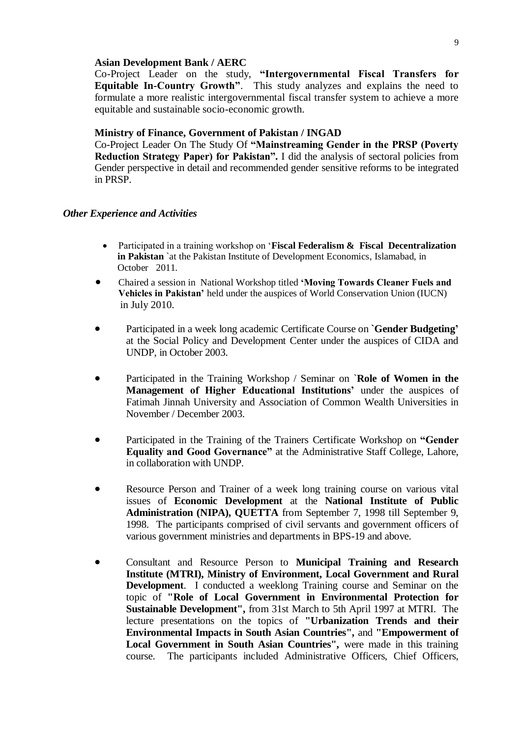#### **Asian Development Bank / AERC**

Co-Project Leader on the study, **"Intergovernmental Fiscal Transfers for Equitable In-Country Growth"**. This study analyzes and explains the need to formulate a more realistic intergovernmental fiscal transfer system to achieve a more equitable and sustainable socio-economic growth.

## **Ministry of Finance, Government of Pakistan / INGAD**

Co-Project Leader On The Study Of **"Mainstreaming Gender in the PRSP (Poverty Reduction Strategy Paper) for Pakistan".** I did the analysis of sectoral policies from Gender perspective in detail and recommended gender sensitive reforms to be integrated in PRSP.

#### *Other Experience and Activities*

- Participated in a training workshop on '**Fiscal Federalism & Fiscal Decentralization in Pakistan** `at the Pakistan Institute of Development Economics, Islamabad, in October 2011.
- Chaired a session in National Workshop titled **'Moving Towards Cleaner Fuels and Vehicles in Pakistan'** held under the auspices of World Conservation Union (IUCN) in July 2010.
- Participated in a week long academic Certificate Course on **`Gender Budgeting'** at the Social Policy and Development Center under the auspices of CIDA and UNDP, in October 2003.
- Participated in the Training Workshop / Seminar on `**Role of Women in the Management of Higher Educational Institutions'** under the auspices of Fatimah Jinnah University and Association of Common Wealth Universities in November / December 2003.
- Participated in the Training of the Trainers Certificate Workshop on **"Gender Equality and Good Governance"** at the Administrative Staff College, Lahore, in collaboration with UNDP.
- Resource Person and Trainer of a week long training course on various vital issues of **Economic Development** at the **National Institute of Public Administration (NIPA), QUETTA** from September 7, 1998 till September 9, 1998. The participants comprised of civil servants and government officers of various government ministries and departments in BPS-19 and above.
- Consultant and Resource Person to **Municipal Training and Research Institute (MTRI), Ministry of Environment, Local Government and Rural Development**. I conducted a weeklong Training course and Seminar on the topic of **"Role of Local Government in Environmental Protection for Sustainable Development",** from 31st March to 5th April 1997 at MTRI. The lecture presentations on the topics of **"Urbanization Trends and their Environmental Impacts in South Asian Countries",** and **"Empowerment of Local Government in South Asian Countries",** were made in this training course. The participants included Administrative Officers, Chief Officers,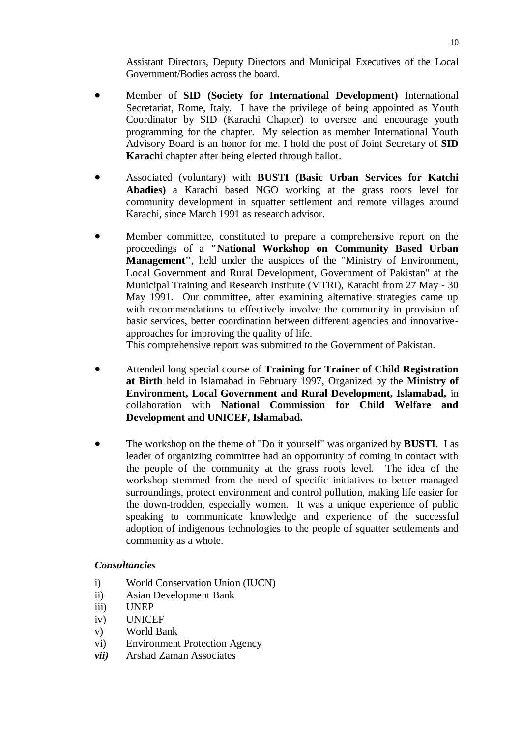Assistant Directors, Deputy Directors and Municipal Executives of the Local Government/Bodies across the board.

- Member of **SID (Society for International Development)** International Secretariat, Rome, Italy. I have the privilege of being appointed as Youth Coordinator by SID (Karachi Chapter) to oversee and encourage youth programming for the chapter. My selection as member International Youth Advisory Board is an honor for me. I hold the post of Joint Secretary of **SID Karachi** chapter after being elected through ballot.
- Associated (voluntary) with **BUSTI (Basic Urban Services for Katchi Abadies)** a Karachi based NGO working at the grass roots level for community development in squatter settlement and remote villages around Karachi, since March 1991 as research advisor.
- Member committee, constituted to prepare a comprehensive report on the proceedings of a **"National Workshop on Community Based Urban Management"**, held under the auspices of the "Ministry of Environment, Local Government and Rural Development, Government of Pakistan" at the Municipal Training and Research Institute (MTRI), Karachi from 27 May - 30 May 1991. Our committee, after examining alternative strategies came up with recommendations to effectively involve the community in provision of basic services, better coordination between different agencies and innovativeapproaches for improving the quality of life.

This comprehensive report was submitted to the Government of Pakistan.

- Attended long special course of **Training for Trainer of Child Registration at Birth** held in Islamabad in February 1997, Organized by the **Ministry of Environment, Local Government and Rural Development, Islamabad,** in collaboration with **National Commission for Child Welfare and Development and UNICEF, Islamabad.**
- The workshop on the theme of "Do it yourself" was organized by **BUSTI**. I as leader of organizing committee had an opportunity of coming in contact with the people of the community at the grass roots level. The idea of the workshop stemmed from the need of specific initiatives to better managed surroundings, protect environment and control pollution, making life easier for the down-trodden, especially women. It was a unique experience of public speaking to communicate knowledge and experience of the successful adoption of indigenous technologies to the people of squatter settlements and community as a whole.

## *Consultancies*

- i) World Conservation Union (IUCN)
- ii) Asian Development Bank
- iii) UNEP
- iv) UNICEF
- v) World Bank
- vi) Environment Protection Agency
- *vii)* Arshad Zaman Associates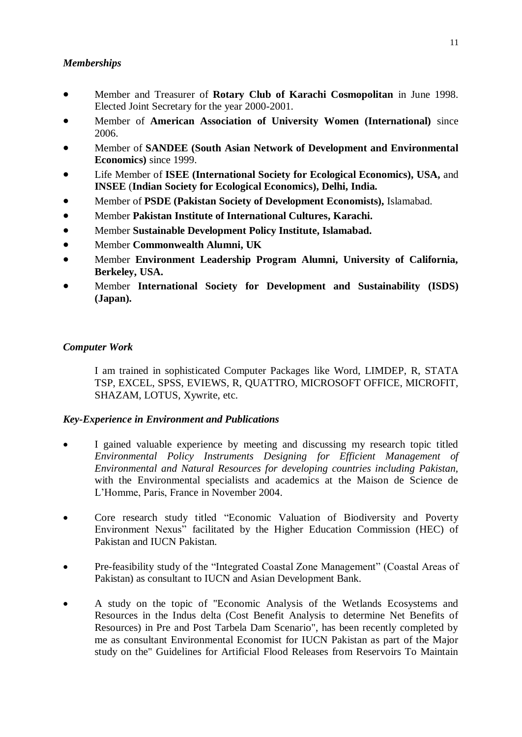# *Memberships*

- Member and Treasurer of **Rotary Club of Karachi Cosmopolitan** in June 1998. Elected Joint Secretary for the year 2000-2001.
- Member of **American Association of University Women (International)** since 2006.
- Member of **SANDEE (South Asian Network of Development and Environmental Economics)** since 1999.
- Life Member of **ISEE (International Society for Ecological Economics), USA,** and **INSEE** (**Indian Society for Ecological Economics), Delhi, India.**
- Member of **PSDE (Pakistan Society of Development Economists),** Islamabad.
- Member **Pakistan Institute of International Cultures, Karachi.**
- Member **Sustainable Development Policy Institute, Islamabad.**
- Member **Commonwealth Alumni, UK**
- Member **Environment Leadership Program Alumni, University of California, Berkeley, USA.**
- Member **International Society for Development and Sustainability (ISDS) (Japan).**

## *Computer Work*

I am trained in sophisticated Computer Packages like Word, LIMDEP, R, STATA TSP, EXCEL, SPSS, EVIEWS, R, QUATTRO, MICROSOFT OFFICE, MICROFIT, SHAZAM, LOTUS, Xywrite, etc.

## *Key-Experience in Environment and Publications*

- I gained valuable experience by meeting and discussing my research topic titled *Environmental Policy Instruments Designing for Efficient Management of Environmental and Natural Resources for developing countries including Pakistan,*  with the Environmental specialists and academics at the Maison de Science de L'Homme, Paris, France in November 2004.
- Core research study titled "Economic Valuation of Biodiversity and Poverty Environment Nexus" facilitated by the Higher Education Commission (HEC) of Pakistan and IUCN Pakistan.
- Pre-feasibility study of the "Integrated Coastal Zone Management" (Coastal Areas of Pakistan) as consultant to IUCN and Asian Development Bank.
- A study on the topic of "Economic Analysis of the Wetlands Ecosystems and Resources in the Indus delta (Cost Benefit Analysis to determine Net Benefits of Resources) in Pre and Post Tarbela Dam Scenario", has been recently completed by me as consultant Environmental Economist for IUCN Pakistan as part of the Major study on the" Guidelines for Artificial Flood Releases from Reservoirs To Maintain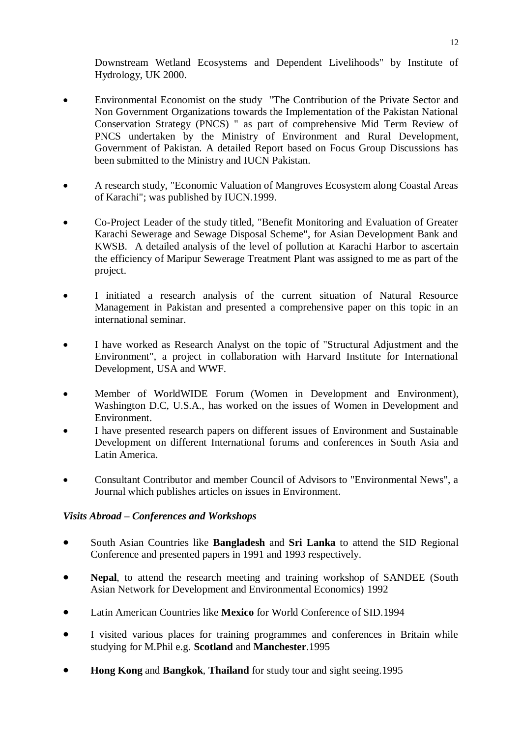Downstream Wetland Ecosystems and Dependent Livelihoods" by Institute of Hydrology, UK 2000.

- Environmental Economist on the study "The Contribution of the Private Sector and Non Government Organizations towards the Implementation of the Pakistan National Conservation Strategy (PNCS) " as part of comprehensive Mid Term Review of PNCS undertaken by the Ministry of Environment and Rural Development, Government of Pakistan. A detailed Report based on Focus Group Discussions has been submitted to the Ministry and IUCN Pakistan.
- A research study, "Economic Valuation of Mangroves Ecosystem along Coastal Areas of Karachi"; was published by IUCN.1999.
- Co-Project Leader of the study titled, "Benefit Monitoring and Evaluation of Greater Karachi Sewerage and Sewage Disposal Scheme", for Asian Development Bank and KWSB. A detailed analysis of the level of pollution at Karachi Harbor to ascertain the efficiency of Maripur Sewerage Treatment Plant was assigned to me as part of the project.
- I initiated a research analysis of the current situation of Natural Resource Management in Pakistan and presented a comprehensive paper on this topic in an international seminar.
- I have worked as Research Analyst on the topic of "Structural Adjustment and the Environment", a project in collaboration with Harvard Institute for International Development, USA and WWF.
- Member of WorldWIDE Forum (Women in Development and Environment), Washington D.C, U.S.A., has worked on the issues of Women in Development and Environment.
- I have presented research papers on different issues of Environment and Sustainable Development on different International forums and conferences in South Asia and Latin America.
- Consultant Contributor and member Council of Advisors to "Environmental News", a Journal which publishes articles on issues in Environment.

## *Visits Abroad – Conferences and Workshops*

- South Asian Countries like **Bangladesh** and **Sri Lanka** to attend the SID Regional Conference and presented papers in 1991 and 1993 respectively.
- **Nepal**, to attend the research meeting and training workshop of SANDEE (South Asian Network for Development and Environmental Economics) 1992
- Latin American Countries like **Mexico** for World Conference of SID.1994
- I visited various places for training programmes and conferences in Britain while studying for M.Phil e.g. **Scotland** and **Manchester**.1995
- **Hong Kong** and **Bangkok**, **Thailand** for study tour and sight seeing.1995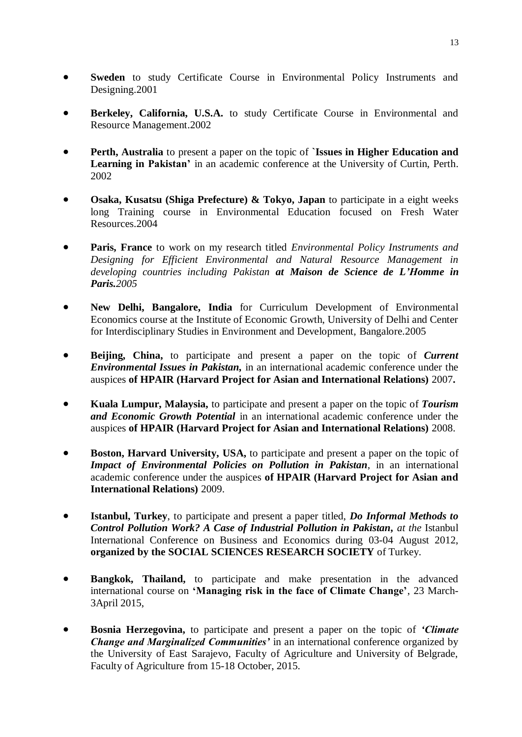- **Sweden** to study Certificate Course in Environmental Policy Instruments and Designing.2001
- **Berkeley, California, U.S.A.** to study Certificate Course in Environmental and Resource Management.2002
- **Perth, Australia** to present a paper on the topic of **`Issues in Higher Education and Learning in Pakistan'** in an academic conference at the University of Curtin, Perth. 2002
- **Osaka, Kusatsu (Shiga Prefecture) & Tokyo, Japan** to participate in a eight weeks long Training course in Environmental Education focused on Fresh Water Resources.2004
- **Paris, France** to work on my research titled *Environmental Policy Instruments and Designing for Efficient Environmental and Natural Resource Management in developing countries including Pakistan at Maison de Science de L'Homme in Paris.2005*
- **New Delhi, Bangalore, India** for Curriculum Development of Environmental Economics course at the Institute of Economic Growth, University of Delhi and Center for Interdisciplinary Studies in Environment and Development, Bangalore.2005
- **Beijing, China,** to participate and present a paper on the topic of *Current Environmental Issues in Pakistan,* in an international academic conference under the auspices **of HPAIR (Harvard Project for Asian and International Relations)** 2007**.**
- **Kuala Lumpur, Malaysia,** to participate and present a paper on the topic of *Tourism and Economic Growth Potential* in an international academic conference under the auspices **of HPAIR (Harvard Project for Asian and International Relations)** 2008.
- **Boston, Harvard University, USA,** to participate and present a paper on the topic of *Impact of Environmental Policies on Pollution in Pakistan*, in an international academic conference under the auspices **of HPAIR (Harvard Project for Asian and International Relations)** 2009.
- **Istanbul, Turkey**, to participate and present a paper titled, *Do Informal Methods to Control Pollution Work? A Case of Industrial Pollution in Pakistan, at the* Istanbul International Conference on Business and Economics during 03-04 August 2012, **organized by the SOCIAL SCIENCES RESEARCH SOCIETY** of Turkey.
- **Bangkok, Thailand,** to participate and make presentation in the advanced international course on **'Managing risk in the face of Climate Change'**, 23 March-3April 2015,
- **Bosnia Herzegovina,** to participate and present a paper on the topic of *'Climate Change and Marginalized Communities'* in an international conference organized by the University of East Sarajevo, Faculty of Agriculture and University of Belgrade, Faculty of Agriculture from 15-18 October, 2015.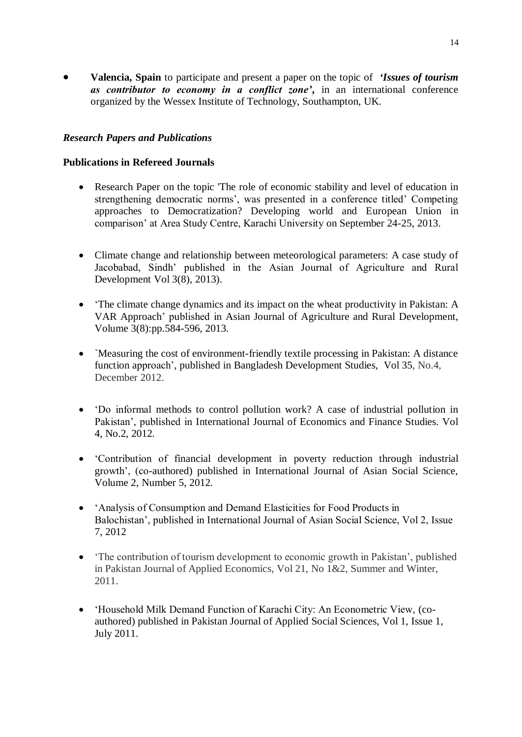**Valencia, Spain** to participate and present a paper on the topic of *'Issues of tourism as contributor to economy in a conflict zone'***,** in an international conference organized by the Wessex Institute of Technology, Southampton, UK.

## *Research Papers and Publications*

## **Publications in Refereed Journals**

- Research Paper on the topic 'The role of economic stability and level of education in strengthening democratic norms', was presented in a conference titled' Competing approaches to Democratization? Developing world and European Union in comparison' at Area Study Centre, Karachi University on September 24-25, 2013.
- Climate change and relationship between meteorological parameters: A case study of Jacobabad, Sindh' published in the Asian Journal of Agriculture and Rural Development Vol 3(8), 2013).
- 'The climate change dynamics and its impact on the wheat productivity in Pakistan: A VAR Approach' published in Asian Journal of Agriculture and Rural Development, Volume 3(8):pp.584-596, 2013.
- `Measuring the cost of environment-friendly textile processing in Pakistan: A distance function approach', published in Bangladesh Development Studies, Vol 35, No.4, December 2012.
- 'Do informal methods to control pollution work? A case of industrial pollution in Pakistan', published in International Journal of Economics and Finance Studies. Vol 4, No.2, 2012.
- 'Contribution of financial development in poverty reduction through industrial growth', (co-authored) published in International Journal of Asian Social Science, Volume 2, Number 5, 2012.
- 'Analysis of Consumption and Demand Elasticities for Food Products in Balochistan', published in International Journal of Asian Social Science, Vol 2, Issue 7, 2012
- 'The contribution of tourism development to economic growth in Pakistan', published in Pakistan Journal of Applied Economics, Vol 21, No 1&2, Summer and Winter, 2011.
- 'Household Milk Demand Function of Karachi City: An Econometric View, (coauthored) published in Pakistan Journal of Applied Social Sciences, Vol 1, Issue 1, July 2011.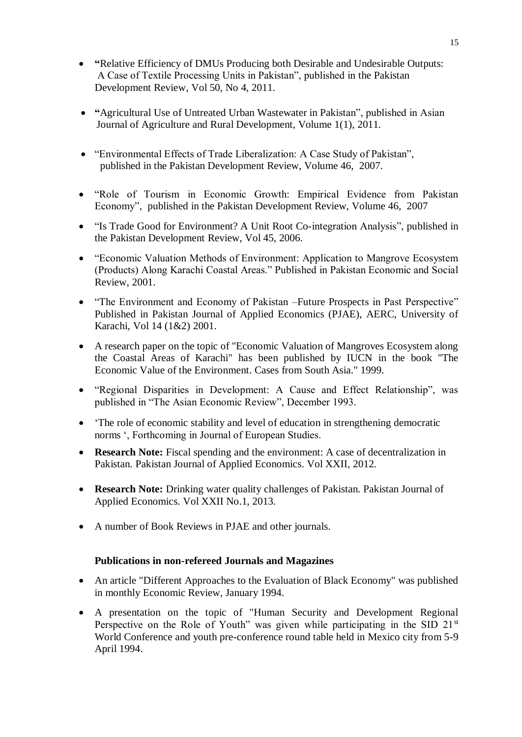- **"**Relative Efficiency of DMUs Producing both Desirable and Undesirable Outputs: A Case of Textile Processing Units in Pakistan", published in the Pakistan Development Review, Vol 50, No 4, 2011.
- **"**Agricultural Use of Untreated Urban Wastewater in Pakistan", published in Asian Journal of Agriculture and Rural Development, Volume 1(1), 2011.
- "Environmental Effects of Trade Liberalization: A Case Study of Pakistan", published in the Pakistan Development Review, Volume 46, 2007.
- "Role of Tourism in Economic Growth: Empirical Evidence from Pakistan Economy", published in the Pakistan Development Review, Volume 46, 2007
- "Is Trade Good for Environment? A Unit Root Co-integration Analysis", published in the Pakistan Development Review, Vol 45, 2006.
- "Economic Valuation Methods of Environment: Application to Mangrove Ecosystem (Products) Along Karachi Coastal Areas." Published in Pakistan Economic and Social Review, 2001.
- "The Environment and Economy of Pakistan –Future Prospects in Past Perspective" Published in Pakistan Journal of Applied Economics (PJAE), AERC, University of Karachi, Vol 14 (1&2) 2001.
- A research paper on the topic of "Economic Valuation of Mangroves Ecosystem along the Coastal Areas of Karachi" has been published by IUCN in the book "The Economic Value of the Environment. Cases from South Asia." 1999.
- "Regional Disparities in Development: A Cause and Effect Relationship", was published in "The Asian Economic Review", December 1993.
- 'The role of economic stability and level of education in strengthening democratic norms ', Forthcoming in Journal of European Studies.
- **Research Note:** Fiscal spending and the environment: A case of decentralization in Pakistan. Pakistan Journal of Applied Economics. Vol XXII, 2012.
- **Research Note:** Drinking water quality challenges of Pakistan. Pakistan Journal of Applied Economics. Vol XXII No.1, 2013.
- A number of Book Reviews in PJAE and other journals.

## **Publications in non-refereed Journals and Magazines**

- An article "Different Approaches to the Evaluation of Black Economy" was published in monthly Economic Review, January 1994.
- A presentation on the topic of "Human Security and Development Regional Perspective on the Role of Youth" was given while participating in the SID 21<sup>st</sup> World Conference and youth pre-conference round table held in Mexico city from 5-9 April 1994.